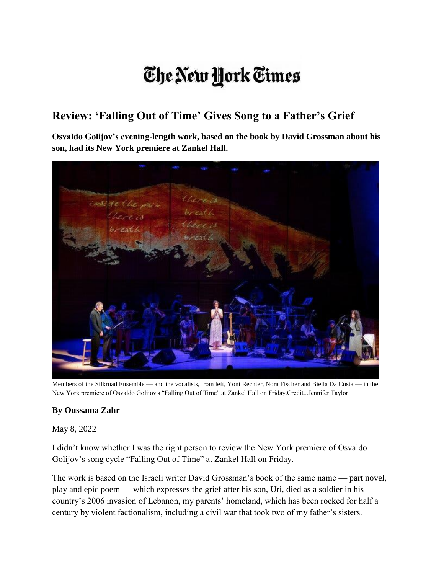## The New York Times

## **Review: 'Falling Out of Time' Gives Song to a Father's Grief**

**Osvaldo Golijov's evening-length work, based on the book by David Grossman about his son, had its New York premiere at Zankel Hall.**



Members of the Silkroad Ensemble — and the vocalists, from left, Yoni Rechter, Nora Fischer and Biella Da Costa — in the New York premiere of Osvaldo Golijov's "Falling Out of Time" at Zankel Hall on Friday.Credit...Jennifer Taylor

## **By Oussama Zahr**

May 8, 2022

I didn't know whether I was the right person to review the New York premiere of Osvaldo Golijov's song cycle "Falling Out of Time" at Zankel Hall on Friday.

The work is based on the Israeli writer David Grossman's book of the same name — part novel, play and epic poem — which expresses the grief after his son, Uri, died as a soldier in his country's 2006 invasion of Lebanon, my parents' homeland, which has been rocked for half a century by violent factionalism, including a civil war that took two of my father's sisters.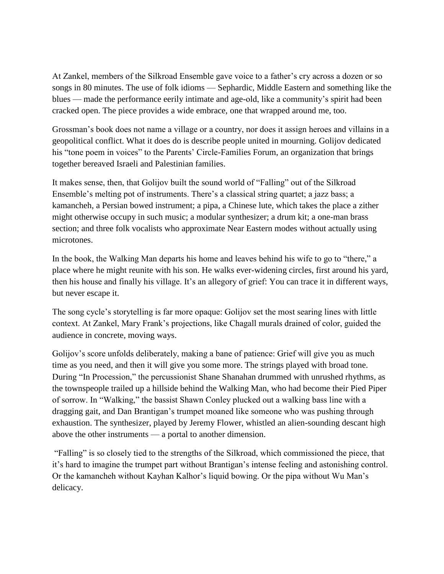At Zankel, members of the Silkroad Ensemble gave voice to a father's cry across a dozen or so songs in 80 minutes. The use of folk idioms — Sephardic, Middle Eastern and something like the blues — made the performance eerily intimate and age-old, like a community's spirit had been cracked open. The piece provides a wide embrace, one that wrapped around me, too.

Grossman's book does not name a village or a country, nor does it assign heroes and villains in a geopolitical conflict. What it does do is describe people united in mourning. Golijov dedicated his "tone poem in voices" to the Parents' Circle-Families Forum, an organization that brings together bereaved Israeli and Palestinian families.

It makes sense, then, that Golijov built the sound world of "Falling" out of the Silkroad Ensemble's melting pot of instruments. There's a classical string quartet; a jazz bass; a kamancheh, a Persian bowed instrument; a pipa, a Chinese lute, which takes the place a zither might otherwise occupy in such music; a modular synthesizer; a drum kit; a one-man brass section; and three folk vocalists who approximate Near Eastern modes without actually using microtones.

In the book, the Walking Man departs his home and leaves behind his wife to go to "there," a place where he might reunite with his son. He walks ever-widening circles, first around his yard, then his house and finally his village. It's an allegory of grief: You can trace it in different ways, but never escape it.

The song cycle's storytelling is far more opaque: Golijov set the most searing lines with little context. At Zankel, Mary Frank's projections, like Chagall murals drained of color, guided the audience in concrete, moving ways.

Golijov's score unfolds deliberately, making a bane of patience: Grief will give you as much time as you need, and then it will give you some more. The strings played with broad tone. During "In Procession," the percussionist Shane Shanahan drummed with unrushed rhythms, as the townspeople trailed up a hillside behind the Walking Man, who had become their Pied Piper of sorrow. In "Walking," the bassist Shawn Conley plucked out a walking bass line with a dragging gait, and Dan Brantigan's trumpet moaned like someone who was pushing through exhaustion. The synthesizer, played by Jeremy Flower, whistled an alien-sounding descant high above the other instruments — a portal to another dimension.

"Falling" is so closely tied to the strengths of the Silkroad, which commissioned the piece, that it's hard to imagine the trumpet part without Brantigan's intense feeling and astonishing control. Or the kamancheh without Kayhan Kalhor's liquid bowing. Or the pipa without Wu Man's delicacy.